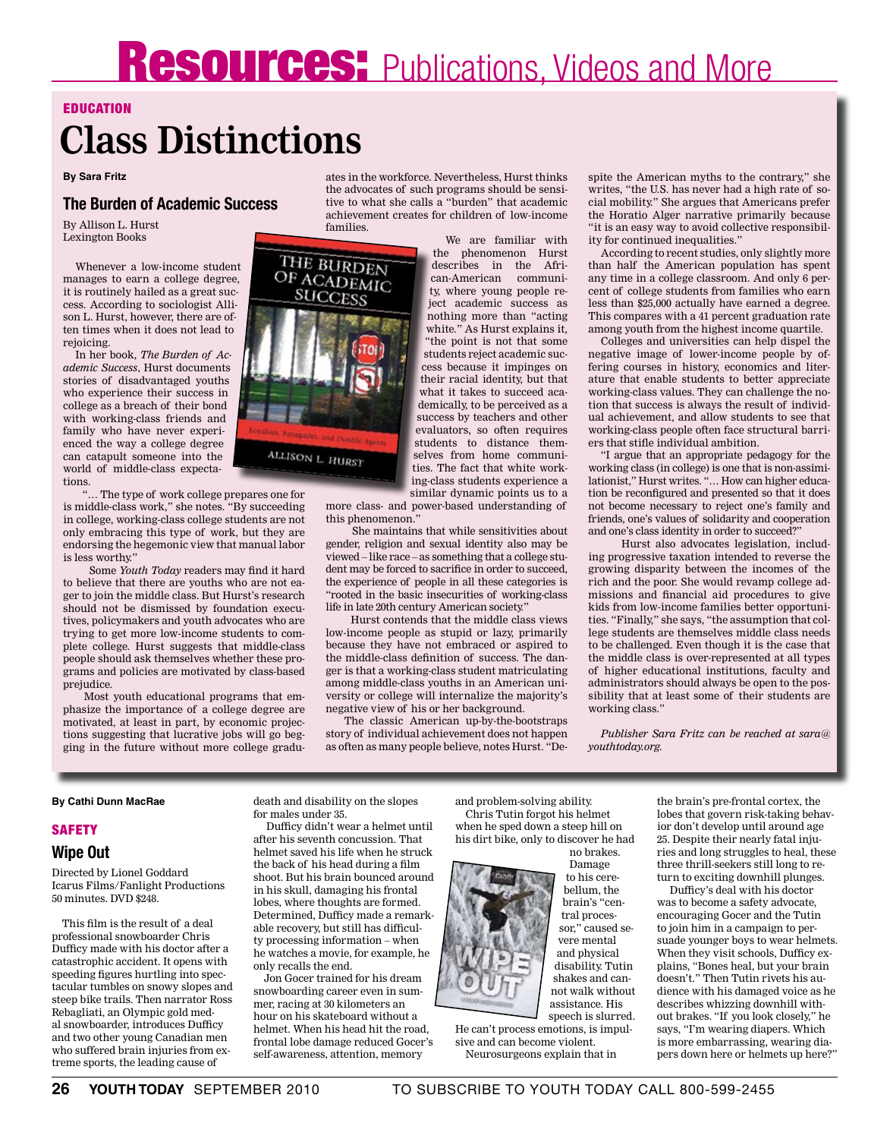# **Resources:** Publications, Videos and More

#### **EDUCATION**

### **Class Distinctions**

#### **By Sara Fritz**

#### **The Burden of Academic Success**

By Allison L. Hurst Lexington Books

Whenever a low-income student manages to earn a college degree, it is routinely hailed as a great success. According to sociologist Allison L. Hurst, however, there are often times when it does not lead to rejoicing.

In her book, *The Burden of Academic Success*, Hurst documents stories of disadvantaged youths who experience their success in college as a breach of their bond with working-class friends and family who have never experienced the way a college degree can catapult someone into the world of middle-class expectations.

 "… The type of work college prepares one for is middle-class work," she notes. "By succeeding in college, working-class college students are not only embracing this type of work, but they are endorsing the hegemonic view that manual labor is less worthy."

 Some *Youth Today* readers may find it hard to believe that there are youths who are not eager to join the middle class. But Hurst's research should not be dismissed by foundation executives, policymakers and youth advocates who are trying to get more low-income students to complete college. Hurst suggests that middle-class people should ask themselves whether these programs and policies are motivated by class-based prejudice.

 Most youth educational programs that emphasize the importance of a college degree are motivated, at least in part, by economic projections suggesting that lucrative jobs will go begging in the future without more college gradu-

ates in the workforce. Nevertheless, Hurst thinks the advocates of such programs should be sensitive to what she calls a "burden" that academic achievement creates for children of low-income families.

We are familiar with the phenomenon Hurst describes in the African-American community, where young people reject academic success as nothing more than "acting white." As Hurst explains it, "the point is not that some students reject academic success because it impinges on their racial identity, but that what it takes to succeed academically, to be perceived as a success by teachers and other evaluators, so often requires students to distance themselves from home communities. The fact that white working-class students experience a similar dynamic points us to a

more class- and power-based understanding of this phenomenon."

 She maintains that while sensitivities about gender, religion and sexual identity also may be viewed – like race – as something that a college student may be forced to sacrifice in order to succeed, the experience of people in all these categories is "rooted in the basic insecurities of working-class life in late 20th century American society."

 Hurst contends that the middle class views low-income people as stupid or lazy, primarily because they have not embraced or aspired to the middle-class definition of success. The danger is that a working-class student matriculating among middle-class youths in an American university or college will internalize the majority's negative view of his or her background.

 The classic American up-by-the-bootstraps story of individual achievement does not happen as often as many people believe, notes Hurst. "Despite the American myths to the contrary," she writes, "the U.S. has never had a high rate of social mobility." She argues that Americans prefer the Horatio Alger narrative primarily because "it is an easy way to avoid collective responsibility for continued inequalities."

According to recent studies, only slightly more than half the American population has spent any time in a college classroom. And only 6 percent of college students from families who earn less than \$25,000 actually have earned a degree. This compares with a 41 percent graduation rate among youth from the highest income quartile.

Colleges and universities can help dispel the negative image of lower-income people by offering courses in history, economics and literature that enable students to better appreciate working-class values. They can challenge the notion that success is always the result of individual achievement, and allow students to see that working-class people often face structural barriers that stifle individual ambition.

"I argue that an appropriate pedagogy for the working class (in college) is one that is non-assimilationist," Hurst writes. "… How can higher education be reconfigured and presented so that it does not become necessary to reject one's family and friends, one's values of solidarity and cooperation and one's class identity in order to succeed?"

 Hurst also advocates legislation, including progressive taxation intended to reverse the growing disparity between the incomes of the rich and the poor. She would revamp college admissions and financial aid procedures to give kids from low-income families better opportunities. "Finally," she says, "the assumption that college students are themselves middle class needs to be challenged. Even though it is the case that the middle class is over-represented at all types of higher educational institutions, faculty and administrators should always be open to the possibility that at least some of their students are working class."

*Publisher Sara Fritz can be reached at sara@ youthtoday.org.*

#### **By Cathi Dunn MacRae**

#### **SAFETY**

#### **Wipe Out**

Directed by Lionel Goddard Icarus Films/Fanlight Productions 50 minutes. DVD \$248.

This film is the result of a deal professional snowboarder Chris Dufficy made with his doctor after a catastrophic accident. It opens with speeding figures hurtling into spectacular tumbles on snowy slopes and steep bike trails. Then narrator Ross Rebagliati, an Olympic gold medal snowboarder, introduces Dufficy and two other young Canadian men who suffered brain injuries from extreme sports, the leading cause of

death and disability on the slopes for males under 35.

 Dufficy didn't wear a helmet until after his seventh concussion. That helmet saved his life when he struck the back of his head during a film shoot. But his brain bounced around in his skull, damaging his frontal lobes, where thoughts are formed. Determined, Dufficy made a remarkable recovery, but still has difficulty processing information – when he watches a movie, for example, he only recalls the end.

Jon Gocer trained for his dream snowboarding career even in summer, racing at 30 kilometers an hour on his skateboard without a helmet. When his head hit the road, frontal lobe damage reduced Gocer's self-awareness, attention, memory

and problem-solving ability. Chris Tutin forgot his helmet when he sped down a steep hill on his dirt bike, only to discover he had

no brakes. Damage to his cerebellum, the brain's "central processor," caused severe mental and physical disability. Tutin shakes and cannot walk without assistance. His speech is slurred.

He can't process emotions, is impulsive and can become violent. Neurosurgeons explain that in

the brain's pre-frontal cortex, the lobes that govern risk-taking behavior don't develop until around age 25. Despite their nearly fatal injuries and long struggles to heal, these three thrill-seekers still long to return to exciting downhill plunges.

 Dufficy's deal with his doctor was to become a safety advocate, encouraging Gocer and the Tutin to join him in a campaign to persuade younger boys to wear helmets. When they visit schools, Dufficy explains, "Bones heal, but your brain doesn't." Then Tutin rivets his audience with his damaged voice as he describes whizzing downhill without brakes. "If you look closely," he says, "I'm wearing diapers. Which is more embarrassing, wearing diapers down here or helmets up here?"